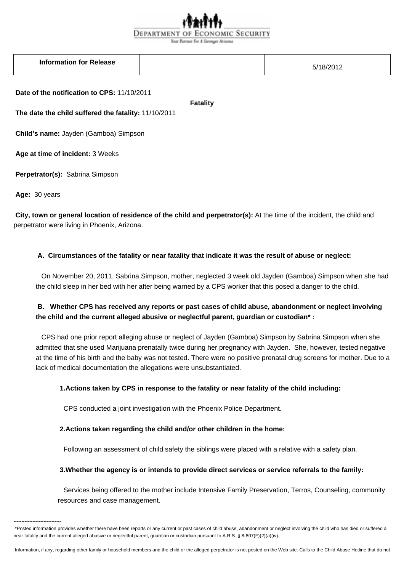# DEPARTMENT OF ECONOMIC SECURITY

Your Partner For A Stronger Arizona

| <b>Information for Release</b> |  |  |
|--------------------------------|--|--|
|--------------------------------|--|--|

5/18/2012

 **Date of the notification to CPS:** 11/10/2011

 **Fatality** 

 **The date the child suffered the fatality:** 11/10/2011

 **Child's name:** Jayden (Gamboa) Simpson

 **Age at time of incident:** 3 Weeks

 **Perpetrator(s):** Sabrina Simpson

 **Age:** 30 years

------------------------------

 **City, town or general location of residence of the child and perpetrator(s):** At the time of the incident, the child and perpetrator were living in Phoenix, Arizona.

### **A. Circumstances of the fatality or near fatality that indicate it was the result of abuse or neglect:**

 On November 20, 2011, Sabrina Simpson, mother, neglected 3 week old Jayden (Gamboa) Simpson when she had the child sleep in her bed with her after being warned by a CPS worker that this posed a danger to the child.

## **B. Whether CPS has received any reports or past cases of child abuse, abandonment or neglect involving the child and the current alleged abusive or neglectful parent, guardian or custodian\* :**

 CPS had one prior report alleging abuse or neglect of Jayden (Gamboa) Simpson by Sabrina Simpson when she admitted that she used Marijuana prenatally twice during her pregnancy with Jayden. She, however, tested negative at the time of his birth and the baby was not tested. There were no positive prenatal drug screens for mother. Due to a lack of medical documentation the allegations were unsubstantiated.

### **1. Actions taken by CPS in response to the fatality or near fatality of the child including:**

CPS conducted a joint investigation with the Phoenix Police Department.

### **2. Actions taken regarding the child and/or other children in the home:**

Following an assessment of child safety the siblings were placed with a relative with a safety plan.

### **3. Whether the agency is or intends to provide direct services or service referrals to the family:**

 Services being offered to the mother include Intensive Family Preservation, Terros, Counseling, community resources and case management.

<sup>\*</sup>Posted information provides whether there have been reports or any current or past cases of child abuse, abandonment or neglect involving the child who has died or suffered a near fatality and the current alleged abusive or neglectful parent, guardian or custodian pursuant to A.R.S. § 8-807(F)(2)(a)(iv).

Information, if any, regarding other family or household members and the child or the alleged perpetrator is not posted on the Web site. Calls to the Child Abuse Hotline that do not